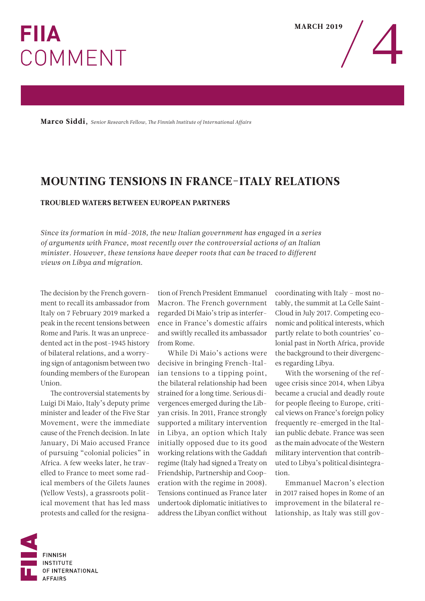## **FIIA** COMMENT



Marco Siddi, *Senior Research Fellow, The Finnish Institute of International Affairs*

## MOUNTING TENSIONS IN FRANCE-ITALY RELATIONS

## TROUBLED WATERS BETWEEN EUROPEAN PARTNERS

*Since its formation in mid-2018, the new Italian government has engaged in a series of arguments with France, most recently over the controversial actions of an Italian minister. However, these tensions have deeper roots that can be traced to different views on Libya and migration.*

The decision by the French government to recall its ambassador from Italy on 7 February 2019 marked a peak in the recent tensions between Rome and Paris. It was an unprecedented act in the post-1945 history of bilateral relations, and a worrying sign of antagonism between two founding members of the European Union.

The controversial statements by Luigi Di Maio, Italy's deputy prime minister and leader of the Five Star Movement, were the immediate cause of the French decision. In late January, Di Maio accused France of pursuing "colonial policies" in Africa. A few weeks later, he travelled to France to meet some radical members of the Gilets Jaunes (Yellow Vests), a grassroots political movement that has led mass protests and called for the resignation of French President Emmanuel Macron. The French government regarded Di Maio's trip as interference in France's domestic affairs and swiftly recalled its ambassador from Rome.

While Di Maio's actions were decisive in bringing French-Italian tensions to a tipping point, the bilateral relationship had been strained for a long time. Serious divergences emerged during the Libyan crisis. In 2011, France strongly supported a military intervention in Libya, an option which Italy initially opposed due to its good working relations with the Gaddafi regime (Italy had signed a Treaty on Friendship, Partnership and Cooperation with the regime in 2008). Tensions continued as France later undertook diplomatic initiatives to address the Libyan conflict without

coordinating with Italy – most notably, the summit at La Celle Saint-Cloud in July 2017. Competing economic and political interests, which partly relate to both countries' colonial past in North Africa, provide the background to their divergences regarding Libya.

With the worsening of the refugee crisis since 2014, when Libya became a crucial and deadly route for people fleeing to Europe, critical views on France's foreign policy frequently re-emerged in the Italian public debate. France was seen as the main advocate of the Western military intervention that contributed to Libya's political disintegration.

Emmanuel Macron's election in 2017 raised hopes in Rome of an improvement in the bilateral relationship, as Italy was still gov-